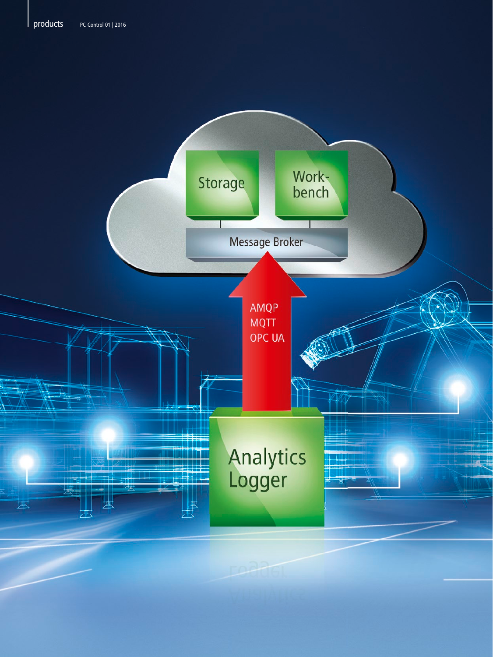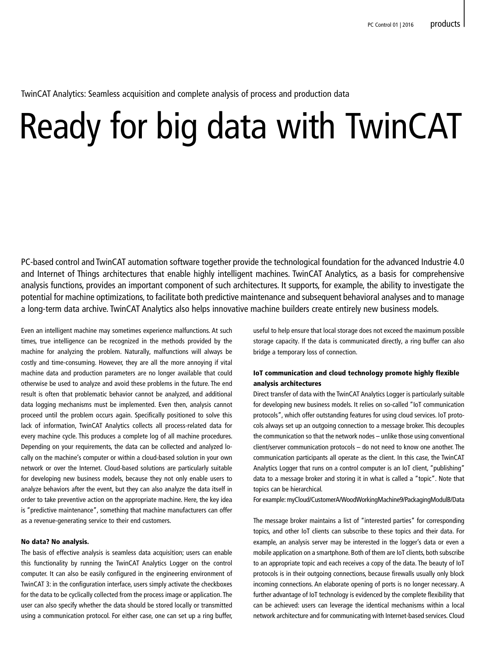TwinCAT Analytics: Seamless acquisition and complete analysis of process and production data

# Ready for big data with TwinCAT

PC-based control and TwinCAT automation software together provide the technological foundation for the advanced Industrie 4.0 and Internet of Things architectures that enable highly intelligent machines. TwinCAT Analytics, as a basis for comprehensive analysis functions, provides an important component of such architectures. It supports, for example, the ability to investigate the potential for machine optimizations, to facilitate both predictive maintenance and subsequent behavioral analyses and to manage a long-term data archive. TwinCAT Analytics also helps innovative machine builders create entirely new business models.

Even an intelligent machine may sometimes experience malfunctions. At such times, true intelligence can be recognized in the methods provided by the machine for analyzing the problem. Naturally, malfunctions will always be costly and time-consuming. However, they are all the more annoying if vital machine data and production parameters are no longer available that could otherwise be used to analyze and avoid these problems in the future. The end result is often that problematic behavior cannot be analyzed, and additional data logging mechanisms must be implemented. Even then, analysis cannot proceed until the problem occurs again. Specifically positioned to solve this lack of information, TwinCAT Analytics collects all process-related data for every machine cycle. This produces a complete log of all machine procedures. Depending on your requirements, the data can be collected and analyzed locally on the machine's computer or within a cloud-based solution in your own network or over the Internet. Cloud-based solutions are particularly suitable for developing new business models, because they not only enable users to analyze behaviors after the event, but they can also analyze the data itself in order to take preventive action on the appropriate machine. Here, the key idea is "predictive maintenance", something that machine manufacturers can offer as a revenue-generating service to their end customers.

### No data? No analysis.

The basis of effective analysis is seamless data acquisition; users can enable this functionality by running the TwinCAT Analytics Logger on the control computer. It can also be easily configured in the engineering environment of TwinCAT 3: in the configuration interface, users simply activate the checkboxes for the data to be cyclically collected from the process image or application. The user can also specify whether the data should be stored locally or transmitted using a communication protocol. For either case, one can set up a ring buffer, useful to help ensure that local storage does not exceed the maximum possible storage capacity. If the data is communicated directly, a ring buffer can also bridge a temporary loss of connection.

# IoT communication and cloud technology promote highly flexible analysis architectures

Direct transfer of data with the TwinCAT Analytics Logger is particularly suitable for developing new business models. It relies on so-called "IoT communication protocols", which offer outstanding features for using cloud services. IoT protocols always set up an outgoing connection to a message broker. This decouples the communication so that the network nodes – unlike those using conventional client/server communication protocols – do not need to know one another. The communication participants all operate as the client. In this case, the TwinCAT Analytics Logger that runs on a control computer is an IoT client, "publishing" data to a message broker and storing it in what is called a "topic". Note that topics can be hierarchical.

For example: myCloud/CustomerA/WoodWorkingMachine9/PackagingModulB/Data

The message broker maintains a list of "interested parties" for corresponding topics, and other IoT clients can subscribe to these topics and their data. For example, an analysis server may be interested in the logger's data or even a mobile application on a smartphone. Both of them are IoT clients, both subscribe to an appropriate topic and each receives a copy of the data. The beauty of IoT protocols is in their outgoing connections, because firewalls usually only block incoming connections. An elaborate opening of ports is no longer necessary. A further advantage of IoT technology is evidenced by the complete flexibility that can be achieved: users can leverage the identical mechanisms within a local network architecture and for communicating with Internet-based services. Cloud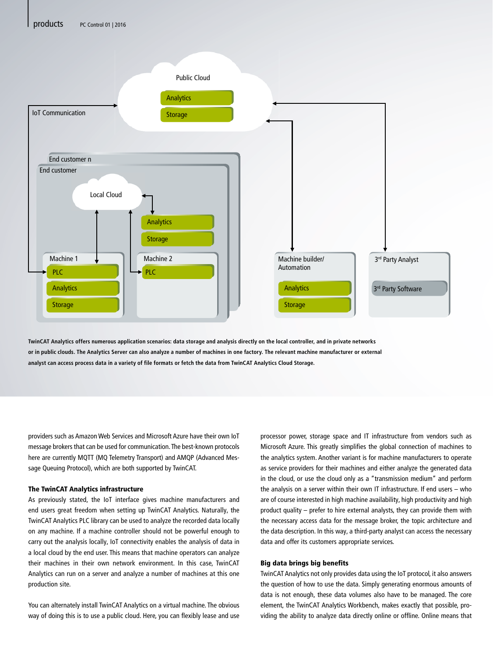

**TwinCAT Analytics offers numerous application scenarios: data storage and analysis directly on the local controller, and in private networks or in public clouds. The Analytics Server can also analyze a number of machines in one factory. The relevant machine manufacturer or external analyst can access process data in a variety of file formats or fetch the data from TwinCAT Analytics Cloud Storage.**

providers such as Amazon Web Services and Microsoft Azure have their own IoT message brokers that can be used for communication. The best-known protocols here are currently MQTT (MQ Telemetry Transport) and AMQP (Advanced Message Queuing Protocol), which are both supported by TwinCAT.

### The TwinCAT Analytics infrastructure

As previously stated, the IoT interface gives machine manufacturers and end users great freedom when setting up TwinCAT Analytics. Naturally, the TwinCAT Analytics PLC library can be used to analyze the recorded data locally on any machine. If a machine controller should not be powerful enough to carry out the analysis locally, IoT connectivity enables the analysis of data in a local cloud by the end user. This means that machine operators can analyze their machines in their own network environment. In this case, TwinCAT Analytics can run on a server and analyze a number of machines at this one production site.

You can alternately install TwinCAT Analytics on a virtual machine. The obvious way of doing this is to use a public cloud. Here, you can flexibly lease and use processor power, storage space and IT infrastructure from vendors such as Microsoft Azure. This greatly simplifies the global connection of machines to the analytics system. Another variant is for machine manufacturers to operate as service providers for their machines and either analyze the generated data in the cloud, or use the cloud only as a "transmission medium" and perform the analysis on a server within their own IT infrastructure. If end users – who are of course interested in high machine availability, high productivity and high product quality – prefer to hire external analysts, they can provide them with the necessary access data for the message broker, the topic architecture and the data description. In this way, a third-party analyst can access the necessary data and offer its customers appropriate services.

### Big data brings big benefits

TwinCAT Analytics not only provides data using the IoT protocol, it also answers the question of how to use the data. Simply generating enormous amounts of data is not enough, these data volumes also have to be managed. The core element, the TwinCAT Analytics Workbench, makes exactly that possible, providing the ability to analyze data directly online or offline. Online means that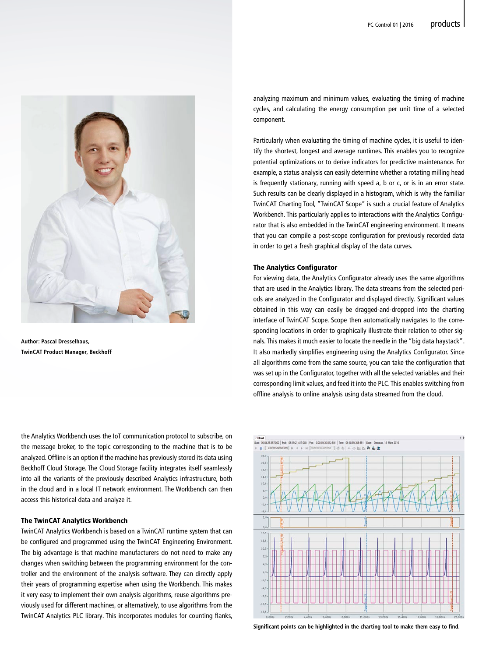

**Author: Pascal Dresselhaus, TwinCAT Product Manager, Beckhoff**

the Analytics Workbench uses the IoT communication protocol to subscribe, on the message broker, to the topic corresponding to the machine that is to be analyzed. Offline is an option if the machine has previously stored its data using Beckhoff Cloud Storage. The Cloud Storage facility integrates itself seamlessly into all the variants of the previously described Analytics infrastructure, both in the cloud and in a local IT network environment. The Workbench can then access this historical data and analyze it.

## The TwinCAT Analytics Workbench

TwinCAT Analytics Workbench is based on a TwinCAT runtime system that can be configured and programmed using the TwinCAT Engineering Environment. The big advantage is that machine manufacturers do not need to make any changes when switching between the programming environment for the controller and the environment of the analysis software. They can directly apply their years of programming expertise when using the Workbench. This makes it very easy to implement their own analysis algorithms, reuse algorithms previously used for different machines, or alternatively, to use algorithms from the TwinCAT Analytics PLC library. This incorporates modules for counting flanks, analyzing maximum and minimum values, evaluating the timing of machine cycles, and calculating the energy consumption per unit time of a selected component.

Particularly when evaluating the timing of machine cycles, it is useful to identify the shortest, longest and average runtimes. This enables you to recognize potential optimizations or to derive indicators for predictive maintenance. For example, a status analysis can easily determine whether a rotating milling head is frequently stationary, running with speed a, b or c, or is in an error state. Such results can be clearly displayed in a histogram, which is why the familiar TwinCAT Charting Tool, "TwinCAT Scope" is such a crucial feature of Analytics Workbench. This particularly applies to interactions with the Analytics Configurator that is also embedded in the TwinCAT engineering environment. It means that you can compile a post-scope configuration for previously recorded data in order to get a fresh graphical display of the data curves.

### The Analytics Configurator

For viewing data, the Analytics Configurator already uses the same algorithms that are used in the Analytics library. The data streams from the selected periods are analyzed in the Configurator and displayed directly. Significant values obtained in this way can easily be dragged-and-dropped into the charting interface of TwinCAT Scope. Scope then automatically navigates to the corresponding locations in order to graphically illustrate their relation to other signals. This makes it much easier to locate the needle in the "big data haystack". It also markedly simplifies engineering using the Analytics Configurator. Since all algorithms come from the same source, you can take the configuration that was set up in the Configurator, together with all the selected variables and their corresponding limit values, and feed it into the PLC. This enables switching from offline analysis to online analysis using data streamed from the cloud.



**Significant points can be highlighted in the charting tool to make them easy to find.**